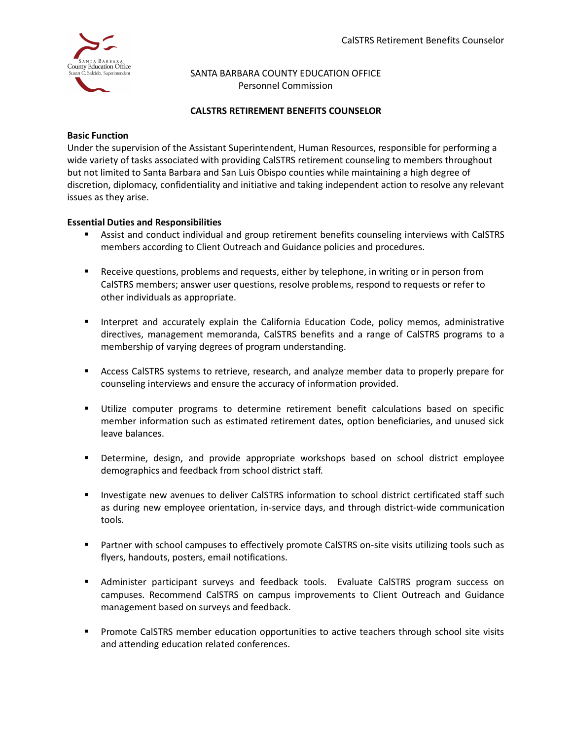

## SANTA BARBARA COUNTY EDUCATION OFFICE Personnel Commission

# **CALSTRS RETIREMENT BENEFITS COUNSELOR**

## **Basic Function**

Under the supervision of the Assistant Superintendent, Human Resources, responsible for performing a wide variety of tasks associated with providing CalSTRS retirement counseling to members throughout but not limited to Santa Barbara and San Luis Obispo counties while maintaining a high degree of discretion, diplomacy, confidentiality and initiative and taking independent action to resolve any relevant issues as they arise.

# **Essential Duties and Responsibilities**

- Assist and conduct individual and group retirement benefits counseling interviews with CalSTRS members according to Client Outreach and Guidance policies and procedures.
- Receive questions, problems and requests, either by telephone, in writing or in person from CalSTRS members; answer user questions, resolve problems, respond to requests or refer to other individuals as appropriate.
- **EXEDENT** Interpret and accurately explain the California Education Code, policy memos, administrative directives, management memoranda, CalSTRS benefits and a range of CalSTRS programs to a membership of varying degrees of program understanding.
- **EXECO** CALCTREE SACTERS systems to retrieve, research, and analyze member data to properly prepare for counseling interviews and ensure the accuracy of information provided.
- Utilize computer programs to determine retirement benefit calculations based on specific member information such as estimated retirement dates, option beneficiaries, and unused sick leave balances.
- **■** Determine, design, and provide appropriate workshops based on school district employee demographics and feedback from school district staff.
- Investigate new avenues to deliver CalSTRS information to school district certificated staff such as during new employee orientation, in-service days, and through district-wide communication tools.
- Partner with school campuses to effectively promote CalSTRS on-site visits utilizing tools such as flyers, handouts, posters, email notifications.
- **E** Administer participant surveys and feedback tools. Evaluate CalSTRS program success on campuses. Recommend CalSTRS on campus improvements to Client Outreach and Guidance management based on surveys and feedback.
- **•** Promote CalSTRS member education opportunities to active teachers through school site visits and attending education related conferences.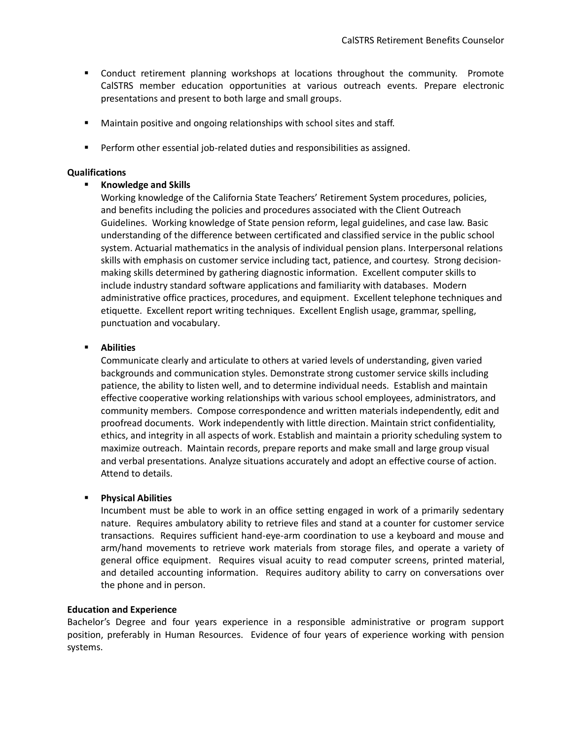- **•** Conduct retirement planning workshops at locations throughout the community. Promote CalSTRS member education opportunities at various outreach events. Prepare electronic presentations and present to both large and small groups.
- Maintain positive and ongoing relationships with school sites and staff.
- Perform other essential job-related duties and responsibilities as assigned.

#### **Qualifications**

## ▪ **Knowledge and Skills**

Working knowledge of the California State Teachers' Retirement System procedures, policies, and benefits including the policies and procedures associated with the Client Outreach Guidelines. Working knowledge of State pension reform, legal guidelines, and case law. Basic understanding of the difference between certificated and classified service in the public school system. Actuarial mathematics in the analysis of individual pension plans. Interpersonal relations skills with emphasis on customer service including tact, patience, and courtesy. Strong decisionmaking skills determined by gathering diagnostic information. Excellent computer skills to include industry standard software applications and familiarity with databases. Modern administrative office practices, procedures, and equipment. Excellent telephone techniques and etiquette. Excellent report writing techniques. Excellent English usage, grammar, spelling, punctuation and vocabulary.

## ▪ **Abilities**

Communicate clearly and articulate to others at varied levels of understanding, given varied backgrounds and communication styles. Demonstrate strong customer service skills including patience, the ability to listen well, and to determine individual needs. Establish and maintain effective cooperative working relationships with various school employees, administrators, and community members. Compose correspondence and written materials independently, edit and proofread documents. Work independently with little direction. Maintain strict confidentiality, ethics, and integrity in all aspects of work. Establish and maintain a priority scheduling system to maximize outreach. Maintain records, prepare reports and make small and large group visual and verbal presentations. Analyze situations accurately and adopt an effective course of action. Attend to details.

## ▪ **Physical Abilities**

Incumbent must be able to work in an office setting engaged in work of a primarily sedentary nature. Requires ambulatory ability to retrieve files and stand at a counter for customer service transactions. Requires sufficient hand-eye-arm coordination to use a keyboard and mouse and arm/hand movements to retrieve work materials from storage files, and operate a variety of general office equipment. Requires visual acuity to read computer screens, printed material, and detailed accounting information. Requires auditory ability to carry on conversations over the phone and in person.

#### **Education and Experience**

Bachelor's Degree and four years experience in a responsible administrative or program support position, preferably in Human Resources. Evidence of four years of experience working with pension systems.